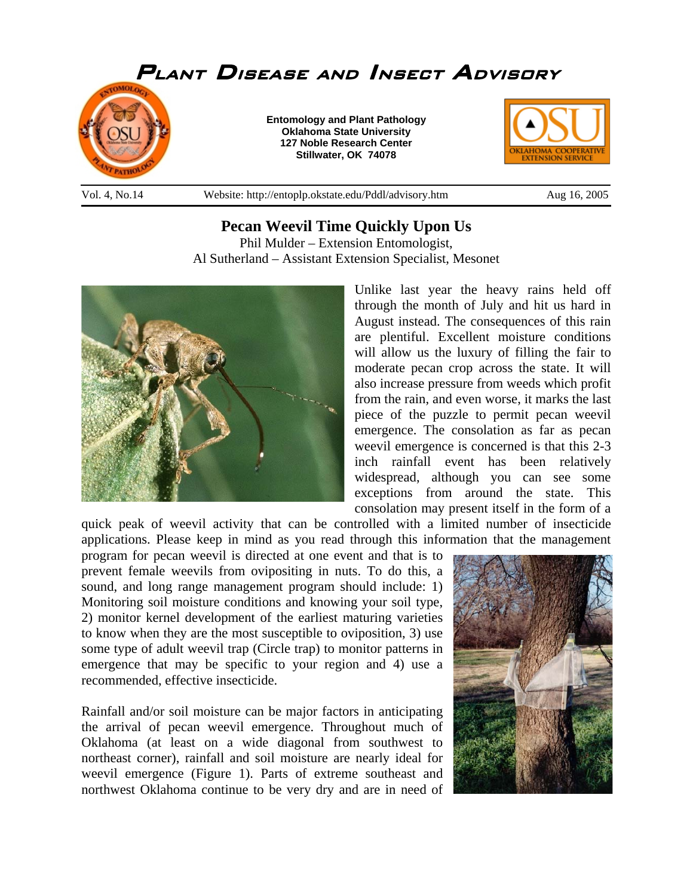

**Pecan Weevil Time Quickly Upon Us**  Phil Mulder – Extension Entomologist, Al Sutherland – Assistant Extension Specialist, Mesonet



Unlike last year the heavy rains held off through the month of July and hit us hard in August instead. The consequences of this rain are plentiful. Excellent moisture conditions will allow us the luxury of filling the fair to moderate pecan crop across the state. It will also increase pressure from weeds which profit from the rain, and even worse, it marks the last piece of the puzzle to permit pecan weevil emergence. The consolation as far as pecan weevil emergence is concerned is that this 2-3 inch rainfall event has been relatively widespread, although you can see some exceptions from around the state. This consolation may present itself in the form of a

quick peak of weevil activity that can be controlled with a limited number of insecticide applications. Please keep in mind as you read through this information that the management

program for pecan weevil is directed at one event and that is to prevent female weevils from ovipositing in nuts. To do this, a sound, and long range management program should include: 1) Monitoring soil moisture conditions and knowing your soil type, 2) monitor kernel development of the earliest maturing varieties to know when they are the most susceptible to oviposition, 3) use some type of adult weevil trap (Circle trap) to monitor patterns in emergence that may be specific to your region and 4) use a recommended, effective insecticide.

Rainfall and/or soil moisture can be major factors in anticipating the arrival of pecan weevil emergence. Throughout much of Oklahoma (at least on a wide diagonal from southwest to northeast corner), rainfall and soil moisture are nearly ideal for weevil emergence (Figure 1). Parts of extreme southeast and northwest Oklahoma continue to be very dry and are in need of

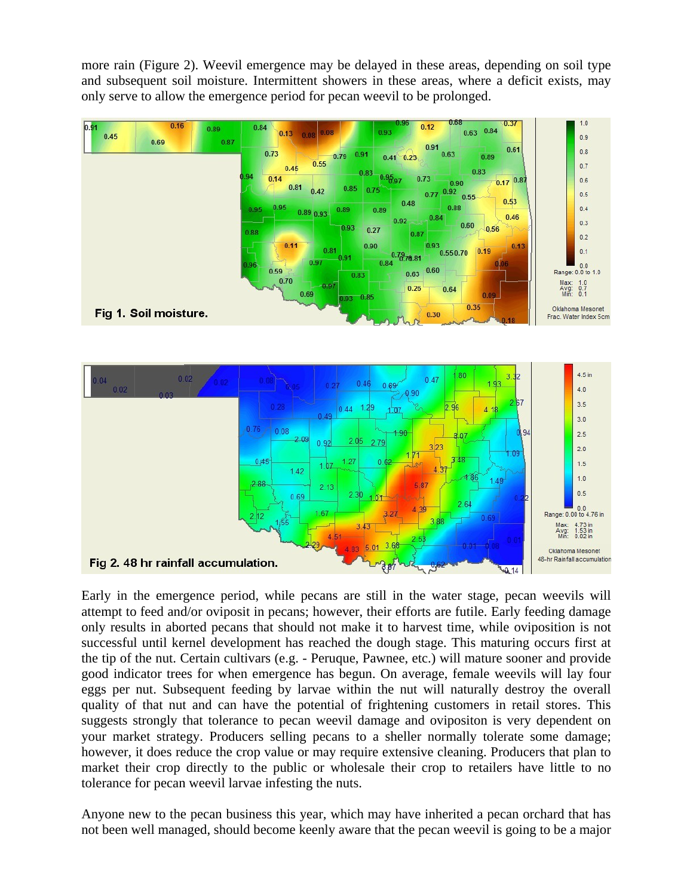more rain (Figure 2). Weevil emergence may be delayed in these areas, depending on soil type and subsequent soil moisture. Intermittent showers in these areas, where a deficit exists, may only serve to allow the emergence period for pecan weevil to be prolonged.





Early in the emergence period, while pecans are still in the water stage, pecan weevils will attempt to feed and/or oviposit in pecans; however, their efforts are futile. Early feeding damage only results in aborted pecans that should not make it to harvest time, while oviposition is not successful until kernel development has reached the dough stage. This maturing occurs first at the tip of the nut. Certain cultivars (e.g. - Peruque, Pawnee, etc.) will mature sooner and provide good indicator trees for when emergence has begun. On average, female weevils will lay four eggs per nut. Subsequent feeding by larvae within the nut will naturally destroy the overall quality of that nut and can have the potential of frightening customers in retail stores. This suggests strongly that tolerance to pecan weevil damage and ovipositon is very dependent on your market strategy. Producers selling pecans to a sheller normally tolerate some damage; however, it does reduce the crop value or may require extensive cleaning. Producers that plan to market their crop directly to the public or wholesale their crop to retailers have little to no tolerance for pecan weevil larvae infesting the nuts.

Anyone new to the pecan business this year, which may have inherited a pecan orchard that has not been well managed, should become keenly aware that the pecan weevil is going to be a major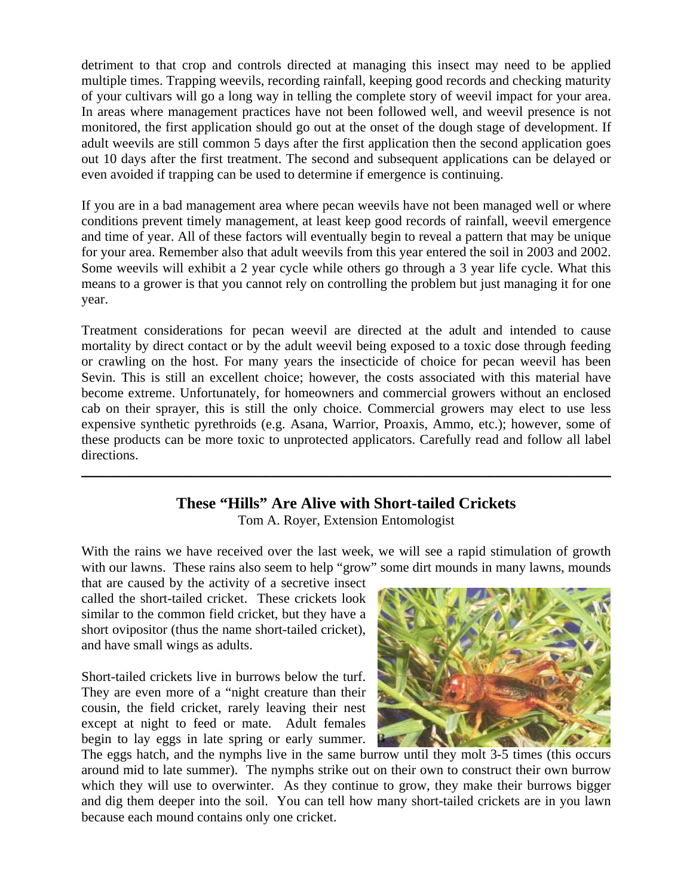detriment to that crop and controls directed at managing this insect may need to be applied multiple times. Trapping weevils, recording rainfall, keeping good records and checking maturity of your cultivars will go a long way in telling the complete story of weevil impact for your area. In areas where management practices have not been followed well, and weevil presence is not monitored, the first application should go out at the onset of the dough stage of development. If adult weevils are still common 5 days after the first application then the second application goes out 10 days after the first treatment. The second and subsequent applications can be delayed or even avoided if trapping can be used to determine if emergence is continuing.

If you are in a bad management area where pecan weevils have not been managed well or where conditions prevent timely management, at least keep good records of rainfall, weevil emergence and time of year. All of these factors will eventually begin to reveal a pattern that may be unique for your area. Remember also that adult weevils from this year entered the soil in 2003 and 2002. Some weevils will exhibit a 2 year cycle while others go through a 3 year life cycle. What this means to a grower is that you cannot rely on controlling the problem but just managing it for one year.

Treatment considerations for pecan weevil are directed at the adult and intended to cause mortality by direct contact or by the adult weevil being exposed to a toxic dose through feeding or crawling on the host. For many years the insecticide of choice for pecan weevil has been Sevin. This is still an excellent choice; however, the costs associated with this material have become extreme. Unfortunately, for homeowners and commercial growers without an enclosed cab on their sprayer, this is still the only choice. Commercial growers may elect to use less expensive synthetic pyrethroids (e.g. Asana, Warrior, Proaxis, Ammo, etc.); however, some of these products can be more toxic to unprotected applicators. Carefully read and follow all label directions.

## **These "Hills" Are Alive with Short-tailed Crickets**

\_\_\_\_\_\_\_\_\_\_\_\_\_\_\_\_\_\_\_\_\_\_\_\_\_\_\_\_\_\_\_\_\_\_\_\_\_\_\_\_\_\_\_\_\_\_\_\_\_\_\_\_\_\_\_\_\_\_\_\_\_\_\_\_\_\_\_\_\_\_\_\_\_\_\_\_\_\_

Tom A. Royer, Extension Entomologist

With the rains we have received over the last week, we will see a rapid stimulation of growth with our lawns. These rains also seem to help "grow" some dirt mounds in many lawns, mounds

that are caused by the activity of a secretive insect called the short-tailed cricket. These crickets look similar to the common field cricket, but they have a short ovipositor (thus the name short-tailed cricket), and have small wings as adults.

Short-tailed crickets live in burrows below the turf. They are even more of a "night creature than their cousin, the field cricket, rarely leaving their nest except at night to feed or mate. Adult females begin to lay eggs in late spring or early summer.



The eggs hatch, and the nymphs live in the same burrow until they molt 3-5 times (this occurs around mid to late summer). The nymphs strike out on their own to construct their own burrow which they will use to overwinter. As they continue to grow, they make their burrows bigger and dig them deeper into the soil. You can tell how many short-tailed crickets are in you lawn because each mound contains only one cricket.